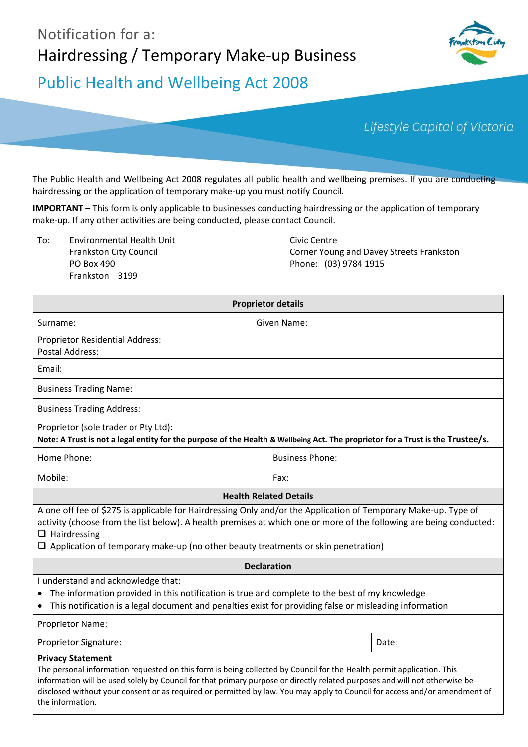# Notification for a: Hairdressing / Temporary Make-up Business



# Public Health and Wellbeing Act 2008

Lifestyle Capital of Victoria

The Public Health and Wellbeing Act 2008 regulates all public health and wellbeing premises. If you are conducting hairdressing or the application of temporary make-up you must notify Council.

**IMPORTANT** – This form is only applicable to businesses conducting hairdressing or the application of temporary make-up. If any other activities are being conducted, please contact Council.

To: Environmental Health Unit Frankston City Council PO Box 490 Frankston 3199

Civic Centre Corner Young and Davey Streets Frankston Phone: (03) 9784 1915

| <b>Proprietor details</b>                                                                                                                                                                                                                                                                                                                                                                                                         |  |                        |       |  |  |
|-----------------------------------------------------------------------------------------------------------------------------------------------------------------------------------------------------------------------------------------------------------------------------------------------------------------------------------------------------------------------------------------------------------------------------------|--|------------------------|-------|--|--|
| Surname:                                                                                                                                                                                                                                                                                                                                                                                                                          |  | Given Name:            |       |  |  |
| Proprietor Residential Address:<br><b>Postal Address:</b>                                                                                                                                                                                                                                                                                                                                                                         |  |                        |       |  |  |
| Email:                                                                                                                                                                                                                                                                                                                                                                                                                            |  |                        |       |  |  |
| <b>Business Trading Name:</b>                                                                                                                                                                                                                                                                                                                                                                                                     |  |                        |       |  |  |
| <b>Business Trading Address:</b>                                                                                                                                                                                                                                                                                                                                                                                                  |  |                        |       |  |  |
| Proprietor (sole trader or Pty Ltd):<br>Note: A Trust is not a legal entity for the purpose of the Health & Wellbeing Act. The proprietor for a Trust is the Trustee/s.                                                                                                                                                                                                                                                           |  |                        |       |  |  |
| Home Phone:                                                                                                                                                                                                                                                                                                                                                                                                                       |  | <b>Business Phone:</b> |       |  |  |
| Mobile:                                                                                                                                                                                                                                                                                                                                                                                                                           |  | Fax:                   |       |  |  |
| <b>Health Related Details</b>                                                                                                                                                                                                                                                                                                                                                                                                     |  |                        |       |  |  |
| A one off fee of \$275 is applicable for Hairdressing Only and/or the Application of Temporary Make-up. Type of<br>activity (choose from the list below). A health premises at which one or more of the following are being conducted:<br>$\Box$ Hairdressing<br>$\Box$ Application of temporary make-up (no other beauty treatments or skin penetration)                                                                         |  |                        |       |  |  |
| <b>Declaration</b>                                                                                                                                                                                                                                                                                                                                                                                                                |  |                        |       |  |  |
| I understand and acknowledge that:<br>The information provided in this notification is true and complete to the best of my knowledge<br>This notification is a legal document and penalties exist for providing false or misleading information                                                                                                                                                                                   |  |                        |       |  |  |
| Proprietor Name:                                                                                                                                                                                                                                                                                                                                                                                                                  |  |                        |       |  |  |
| Proprietor Signature:                                                                                                                                                                                                                                                                                                                                                                                                             |  |                        | Date: |  |  |
| <b>Privacy Statement</b><br>The personal information requested on this form is being collected by Council for the Health permit application. This<br>information will be used solely by Council for that primary purpose or directly related purposes and will not otherwise be<br>disclosed without your consent or as required or permitted by law. You may apply to Council for access and/or amendment of<br>the information. |  |                        |       |  |  |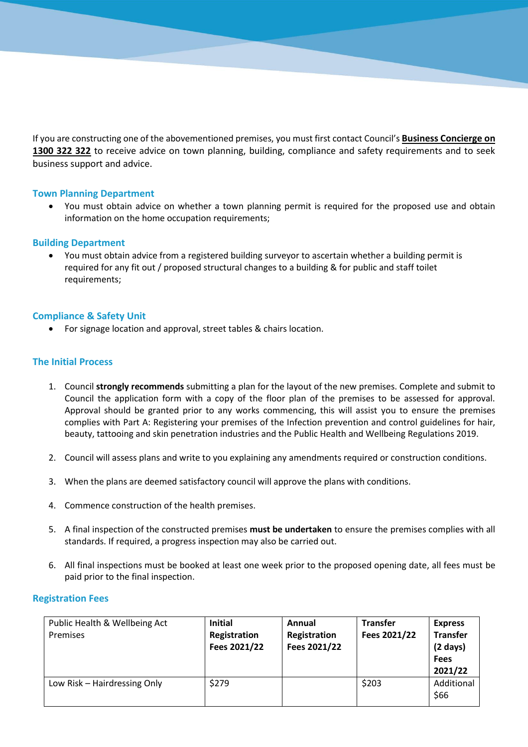If you are constructing one of the abovementioned premises, you must first contact Council's **Business Concierge on 1300 322 322** to receive advice on town planning, building, compliance and safety requirements and to seek business support and advice.

# **Town Planning Department**

 You must obtain advice on whether a town planning permit is required for the proposed use and obtain information on the home occupation requirements;

#### **Building Department**

 You must obtain advice from a registered building surveyor to ascertain whether a building permit is required for any fit out / proposed structural changes to a building & for public and staff toilet requirements;

# **Compliance & Safety Unit**

For signage location and approval, street tables & chairs location.

# **The Initial Process**

- 1. Council **strongly recommends** submitting a plan for the layout of the new premises. Complete and submit to Council the application form with a copy of the floor plan of the premises to be assessed for approval. Approval should be granted prior to any works commencing, this will assist you to ensure the premises complies with Part A: Registering your premises of the Infection prevention and control guidelines for hair, beauty, tattooing and skin penetration industries and the Public Health and Wellbeing Regulations 2019.
- 2. Council will assess plans and write to you explaining any amendments required or construction conditions.
- 3. When the plans are deemed satisfactory council will approve the plans with conditions.
- 4. Commence construction of the health premises.
- 5. A final inspection of the constructed premises **must be undertaken** to ensure the premises complies with all standards. If required, a progress inspection may also be carried out.
- 6. All final inspections must be booked at least one week prior to the proposed opening date, all fees must be paid prior to the final inspection.

#### **Registration Fees**

| Public Health & Wellbeing Act<br>Premises | <b>Initial</b><br>Registration<br>Fees 2021/22 | Annual<br>Registration<br>Fees 2021/22 | <b>Transfer</b><br>Fees 2021/22 | <b>Express</b><br><b>Transfer</b><br>$(2 \text{ days})$<br><b>Fees</b><br>2021/22 |
|-------------------------------------------|------------------------------------------------|----------------------------------------|---------------------------------|-----------------------------------------------------------------------------------|
| Low Risk - Hairdressing Only              | \$279                                          |                                        | \$203                           | Additional<br>\$66                                                                |